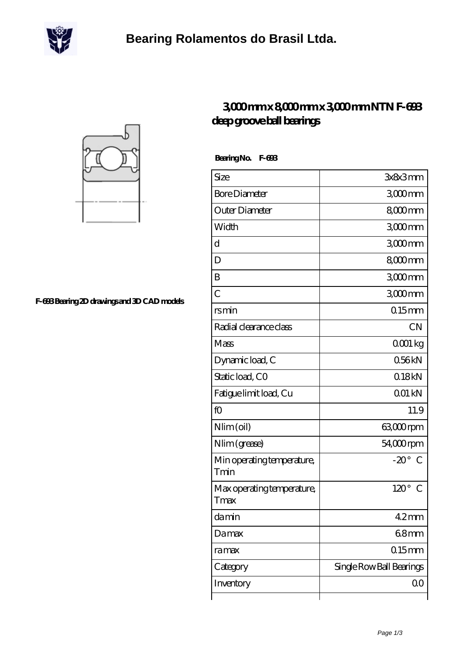



**[F-693 Bearing 2D drawings and 3D CAD models](https://m.scottrobertalexander.com/pic-539552.html)**

## **[3,000 mm x 8,000 mm x 3,000 mm NTN F-693](https://m.scottrobertalexander.com/ntn-f-693-bearing/) [deep groove ball bearings](https://m.scottrobertalexander.com/ntn-f-693-bearing/)**

 **Bearing No. F-693**

| Size                               | 3x8x3mm                  |
|------------------------------------|--------------------------|
| <b>Bore Diameter</b>               | $3000$ mm                |
| Outer Diameter                     | 8000mm                   |
| Width                              | 3000mm                   |
| d                                  | $3000$ mm                |
| D                                  | 8000mm                   |
| B                                  | $3000$ mm                |
| $\overline{C}$                     | 3000mm                   |
| rsmin                              | $0.15$ mm                |
| Radial clearance class             | <b>CN</b>                |
| Mass                               | QOO1 kg                  |
| Dynamic load, C                    | 056kN                    |
| Static load, CO                    | 018kN                    |
| Fatigue limit load, Cu             | 001 kN                   |
| fO                                 | 11.9                     |
| Nlim (oil)                         | 63,000rpm                |
| Nlim (grease)                      | $54,000$ rpm             |
| Min operating temperature,<br>Tmin | $-20^\circ$<br>C         |
| Max operating temperature,<br>Tmax | $120^\circ$<br>C         |
| damin                              | 42mm                     |
| Damax                              | $68$ mm                  |
| ra max                             | $015$ mm                 |
| Category                           | Single Row Ball Bearings |
| Inventory                          | 00                       |
|                                    |                          |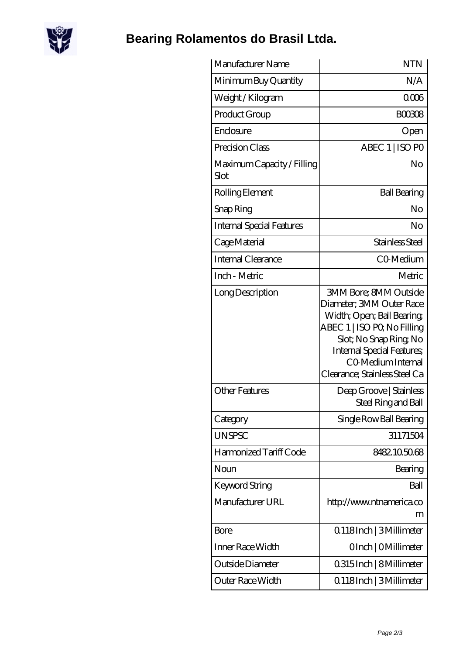

## **[Bearing Rolamentos do Brasil Ltda.](https://m.scottrobertalexander.com)**

| Manufacturer Name                  | <b>NTN</b>                                                                                                                                                                                                                              |
|------------------------------------|-----------------------------------------------------------------------------------------------------------------------------------------------------------------------------------------------------------------------------------------|
| Minimum Buy Quantity               | N/A                                                                                                                                                                                                                                     |
| Weight / Kilogram                  | 0006                                                                                                                                                                                                                                    |
| Product Group                      | <b>BOO308</b>                                                                                                                                                                                                                           |
| Enclosure                          | Open                                                                                                                                                                                                                                    |
| Precision Class                    | ABEC 1   ISO PO                                                                                                                                                                                                                         |
| Maximum Capacity / Filling<br>Slot | No                                                                                                                                                                                                                                      |
| Rolling Element                    | <b>Ball Bearing</b>                                                                                                                                                                                                                     |
| Snap Ring                          | No                                                                                                                                                                                                                                      |
| <b>Internal Special Features</b>   | No                                                                                                                                                                                                                                      |
| Cage Material                      | Stainless Steel                                                                                                                                                                                                                         |
| Internal Clearance                 | CO-Medium                                                                                                                                                                                                                               |
| Inch - Metric                      | Metric                                                                                                                                                                                                                                  |
| Long Description                   | <b>3MM Bore; 8MM Outside</b><br>Diameter; 3MM Outer Race<br>Width; Open; Ball Bearing<br>ABEC 1   ISO PQ No Filling<br>Slot; No Snap Ring No<br><b>Internal Special Features</b><br>CO Medium Internal<br>Clearance; Stainless Steel Ca |
| <b>Other Features</b>              | Deep Groove   Stainless<br>Steel Ring and Ball                                                                                                                                                                                          |
| Category                           | Single Row Ball Bearing                                                                                                                                                                                                                 |
| <b>UNSPSC</b>                      | 31171504                                                                                                                                                                                                                                |
| Harmonized Tariff Code             | 8482105068                                                                                                                                                                                                                              |
| Noun                               | Bearing                                                                                                                                                                                                                                 |
| <b>Keyword String</b>              | Ball                                                                                                                                                                                                                                    |
| Manufacturer URL                   | http://www.ntnamerica.co<br>m                                                                                                                                                                                                           |
| Bore                               | 0.118Inch   3Millimeter                                                                                                                                                                                                                 |
| Inner Race Width                   | OInch   OMillimeter                                                                                                                                                                                                                     |
| Outside Diameter                   | 0.315 Inch   8 Millimeter                                                                                                                                                                                                               |
| Outer Race Width                   | 0.118Inch   3Millimeter                                                                                                                                                                                                                 |